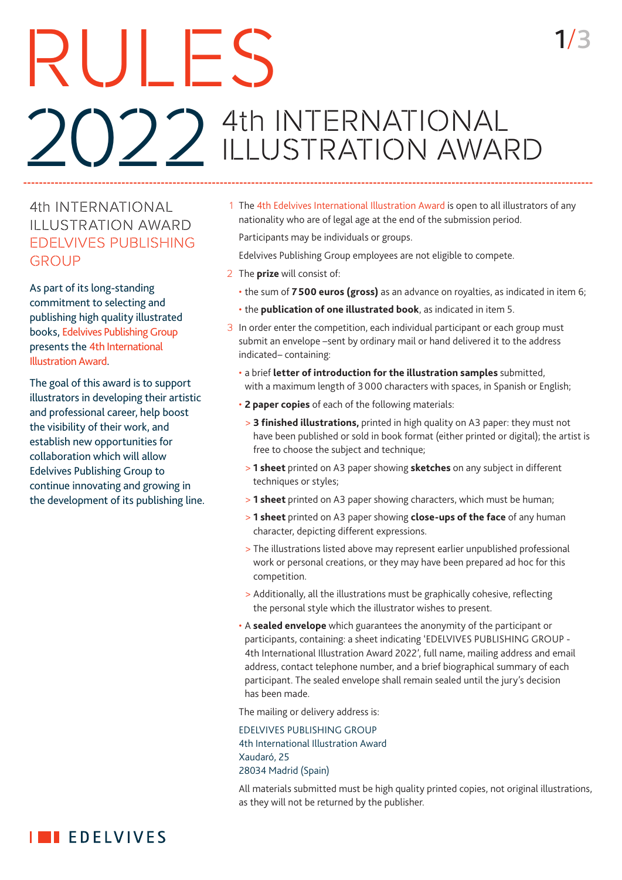### RULES 2022 4th INTERNATIONAL ILLUSTRATION AWARD

#### 4th INTERNATIONAL ILLUSTRATION AWARD EDELVIVES PUBLISHING GROUP

As part of its long-standing commitment to selecting and publishing high quality illustrated books, Edelvives Publishing Group presents the 4th International Illustration Award.

The goal of this award is to support illustrators in developing their artistic and professional career, help boost the visibility of their work, and establish new opportunities for collaboration which will allow Edelvives Publishing Group to continue innovating and growing in the development of its publishing line. 1 The 4th Edelvives International Illustration Award is open to all illustrators of any nationality who are of legal age at the end of the submission period.

1/3

Participants may be individuals or groups.

- Edelvives Publishing Group employees are not eligible to compete.
- 2 The **prize** will consist of:
	- the sum of **7500 euros (gross)** as an advance on royalties, as indicated in item 6;
	- the **publication of one illustrated book**, as indicated in item 5.
- 3 In order enter the competition, each individual participant or each group must submit an envelope –sent by ordinary mail or hand delivered it to the address indicated– containing:
	- a brief **letter of introduction for the illustration samples** submitted, with a maximum length of 3000 characters with spaces, in Spanish or English;
	- **2 paper copies** of each of the following materials:
		- > **3 finished illustrations,** printed in high quality on A3 paper: they must not have been published or sold in book format (either printed or digital); the artist is free to choose the subject and technique;
		- > **1 sheet** printed on A3 paper showing **sketches** on any subject in different techniques or styles;
	- > **1 sheet** printed on A3 paper showing characters, which must be human;
	- > **1 sheet** printed on A3 paper showing **close-ups of the face** of any human character, depicting different expressions.
	- > The illustrations listed above may represent earlier unpublished professional work or personal creations, or they may have been prepared ad hoc for this competition.
	- > Additionally, all the illustrations must be graphically cohesive, reflecting the personal style which the illustrator wishes to present.
	- A **sealed envelope** which guarantees the anonymity of the participant or participants, containing: a sheet indicating 'EDELVIVES PUBLISHING GROUP - 4th International Illustration Award 2022', full name, mailing address and email address, contact telephone number, and a brief biographical summary of each participant. The sealed envelope shall remain sealed until the jury's decision has been made.

The mailing or delivery address is:

 EDELVIVES PUBLISHING GROUP 4th International Illustration Award Xaudaró, 25 28034 Madrid (Spain)

 All materials submitted must be high quality printed copies, not original illustrations, as they will not be returned by the publisher.

### **IN EDELVIVES**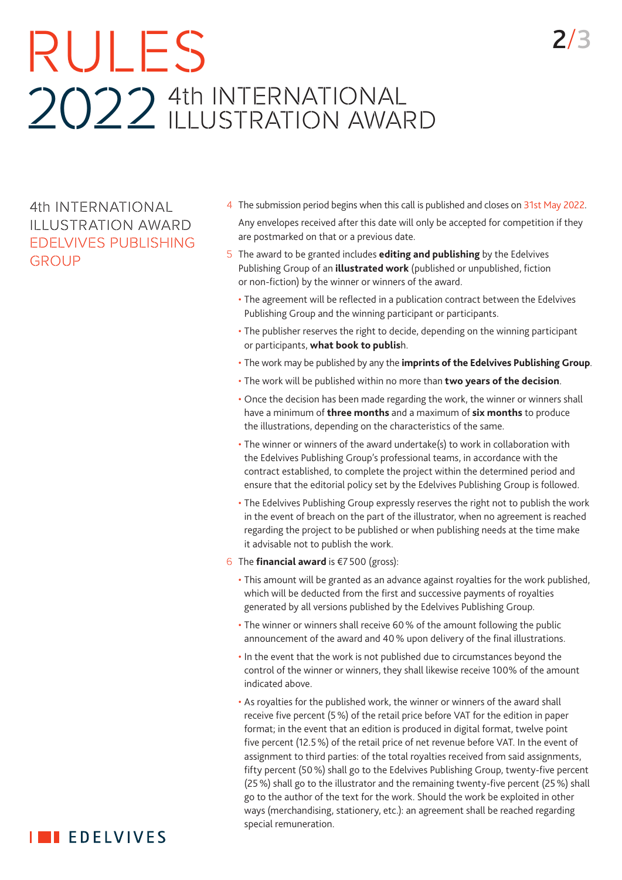# RULES 2022 4th INTERNATIONAL<br>LLUSTRATION AWARD

4th INTERNATIONAL ILLUSTRATION AWARD EDELVIVES PUBLISHING GROUP

- 4 The submission period begins when this call is published and closes on 31st May 2022. Any envelopes received after this date will only be accepted for competition if they are postmarked on that or a previous date.
- 5 The award to be granted includes **editing and publishing** by the Edelvives Publishing Group of an **illustrated work** (published or unpublished, fiction or non-fiction) by the winner or winners of the award.
	- The agreement will be reflected in a publication contract between the Edelvives Publishing Group and the winning participant or participants.
	- The publisher reserves the right to decide, depending on the winning participant or participants, **what book to publis**h.
	- The work may be published by any the **imprints of the Edelvives Publishing Group**.
	- The work will be published within no more than **two years of the decision**.
	- Once the decision has been made regarding the work, the winner or winners shall have a minimum of **three months** and a maximum of **six months** to produce the illustrations, depending on the characteristics of the same.
	- The winner or winners of the award undertake(s) to work in collaboration with the Edelvives Publishing Group's professional teams, in accordance with the contract established, to complete the project within the determined period and ensure that the editorial policy set by the Edelvives Publishing Group is followed.
	- The Edelvives Publishing Group expressly reserves the right not to publish the work in the event of breach on the part of the illustrator, when no agreement is reached regarding the project to be published or when publishing needs at the time make it advisable not to publish the work.
- 6 The **financial award** is €7500 (gross):
	- This amount will be granted as an advance against royalties for the work published, which will be deducted from the first and successive payments of royalties generated by all versions published by the Edelvives Publishing Group.
	- The winner or winners shall receive 60% of the amount following the public announcement of the award and 40% upon delivery of the final illustrations.
	- In the event that the work is not published due to circumstances beyond the control of the winner or winners, they shall likewise receive 100% of the amount indicated above.
	- As royalties for the published work, the winner or winners of the award shall receive five percent (5%) of the retail price before VAT for the edition in paper format; in the event that an edition is produced in digital format, twelve point five percent (12.5%) of the retail price of net revenue before VAT. In the event of assignment to third parties: of the total royalties received from said assignments, fifty percent (50%) shall go to the Edelvives Publishing Group, twenty-five percent (25%) shall go to the illustrator and the remaining twenty-five percent (25%) shall go to the author of the text for the work. Should the work be exploited in other ways (merchandising, stationery, etc.): an agreement shall be reached regarding special remuneration.